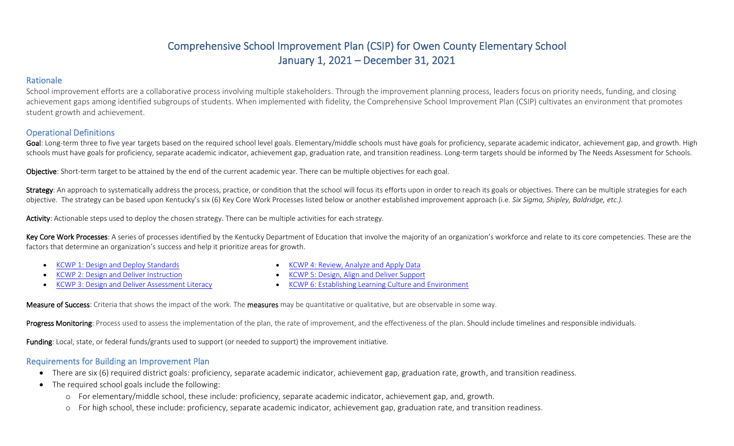# Comprehensive School Improvement Plan (CSIP) for Owen County Elementary School January 1, 2021 – December 31, 2021

#### Rationale

School improvement efforts are a collaborative process involving multiple stakeholders. Through the improvement planning process, leaders focus on priority needs, funding, and closing achievement gaps among identified subgroups of students. When implemented with fidelity, the Comprehensive School Improvement Plan (CSIP) cultivates an environment that promotes student growth and achievement.

#### Operational Definitions

Goal: Long-term three to five year targets based on the required school level goals. Elementary/middle schools must have goals for proficiency, separate academic indicator, achievement gap, and growth. High schools must have goals for proficiency, separate academic indicator, achievement gap, graduation rate, and transition readiness. Long-term targets should be informed by The Needs Assessment for Schools.

Objective: Short-term target to be attained by the end of the current academic year. There can be multiple objectives for each goal.

Strategy: An approach to systematically address the process, practice, or condition that the school will focus its efforts upon in order to reach its goals or objectives. There can be multiple strategies for each objective. The strategy can be based upon Kentucky's six (6) Key Core Work Processes listed below or another established improvement approach (i.e. *Six Sigma, Shipley, Baldridge, etc.).*

Activity: Actionable steps used to deploy the chosen strategy. There can be multiple activities for each strategy.

Key Core Work Processes: A series of processes identified by the Kentucky Department of Education that involve the majority of an organization's workforce and relate to its core competencies. These are the factors that determine an organization's success and help it prioritize areas for growth.

• KCWP [1: Design and Deploy Standards](https://education.ky.gov/school/csip/Documents/KCWP%201%20Strategic%20Design%20and%20Deploy%20Standards.pdf)

• [KCWP 4: Review, Analyze and Apply Data](https://education.ky.gov/school/csip/Documents/KCWP%204%20Strategic%20Review%20Analyze%20and%20Apply%20Data.pdf)

- [KCWP 2: Design and Deliver Instruction](https://education.ky.gov/school/csip/Documents/KCWP%202%20Strategic%20Design%20and%20Deliver%20Instruction.pdf)
- [KCWP 3: Design and Deliver Assessment Literacy](https://education.ky.gov/school/csip/Documents/KCWP%203%20Strategic%20Design%20and%20Deliver%20Assessment%20Literacy.pdf)
- [KCWP 5: Design, Align and Deliver Support](https://education.ky.gov/school/csip/Documents/KCWP%205%20Strategic%20Design%20Align%20Deliver%20Support%20Processes.pdf)
- [KCWP 6: Establishing Learning Culture and Environment](https://education.ky.gov/school/csip/Documents/KCWP%206%20Strategic%20Establish%20Learning%20Culture%20and%20Environment.pdf)

Measure of Success: Criteria that shows the impact of the work. The measures may be quantitative or qualitative, but are observable in some way.

Progress Monitoring: Process used to assess the implementation of the plan, the rate of improvement, and the effectiveness of the plan. Should include timelines and responsible individuals.

Funding: Local, state, or federal funds/grants used to support (or needed to support) the improvement initiative.

#### Requirements for Building an Improvement Plan

- There are six (6) required district goals: proficiency, separate academic indicator, achievement gap, graduation rate, growth, and transition readiness.
- The required school goals include the following:
	- o For elementary/middle school, these include: proficiency, separate academic indicator, achievement gap, and, growth.
	- o For high school, these include: proficiency, separate academic indicator, achievement gap, graduation rate, and transition readiness.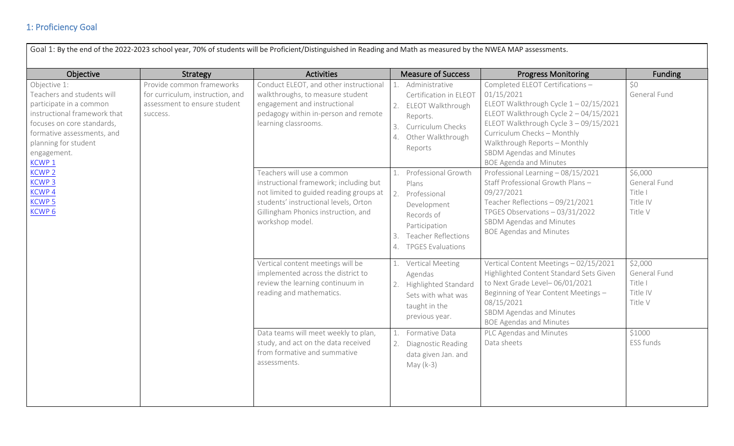### 1: Proficiency Goal

Goal 1: By the end of the 2022-2023 school year, 70% of students will be Proficient/Distinguished in Reading and Math as measured by the NWEA MAP assessments. Objective  $\vert$  Strategy  $\vert$  Activities  $\vert$  Measure of Success  $\vert$  Progress Monitoring Funding Funding Objective 1: Teachers and students will participate in a common instructional framework that focuses on core standards, formative assessments, and planning for student engagement. [KCWP 1](https://education.ky.gov/school/csip/Documents/KCWP%201%20Strategic%20Design%20and%20Deploy%20Standards.pdf) [KCWP 2](https://education.ky.gov/school/csip/Documents/KCWP%202%20Strategic%20Design%20and%20Deliver%20Instruction.pdf) [KCWP 3](https://education.ky.gov/school/csip/Documents/KCWP%203%20Strategic%20Design%20and%20Deliver%20Assessment%20Literacy.pdf) [KCWP 4](https://education.ky.gov/school/csip/Documents/KCWP%204%20Strategic%20Review%20Analyze%20and%20Apply%20Data.pdf) [KCWP 5](https://education.ky.gov/school/csip/Documents/KCWP%205%20Strategic%20Design%20Align%20Deliver%20Support%20Processes.pdf) [KCWP 6](https://education.ky.gov/school/csip/Documents/KCWP%206%20Strategic%20Establish%20Learning%20Culture%20and%20Environment.pdf) Provide common frameworks for curriculum, instruction, and assessment to ensure student success. Conduct ELEOT, and other instructional walkthroughs, to measure student engagement and instructional pedagogy within in-person and remote learning classrooms. 1. Administrative Certification in ELEOT 2. ELEOT Walkthrough Reports. 3. Curriculum Checks 4. Other Walkthrough Reports Completed ELEOT Certifications – 01/15/2021 ELEOT Walkthrough Cycle 1 – 02/15/2021 ELEOT Walkthrough Cycle 2 – 04/15/2021 ELEOT Walkthrough Cycle 3 – 09/15/2021 Curriculum Checks – Monthly Walkthrough Reports – Monthly SBDM Agendas and Minutes BOE Agenda and Minutes \$0 General Fund Teachers will use a common instructional framework; including but not limited to guided reading groups at students' instructional levels, Orton Gillingham Phonics instruction, and workshop model. 1. Professional Growth Plans 2. Professional Development Records of Participation 3. Teacher Reflections 4. TPGES Evaluations Professional Learning – 08/15/2021 Staff Professional Growth Plans – 09/27/2021 Teacher Reflections – 09/21/2021 TPGES Observations – 03/31/2022 SBDM Agendas and Minutes BOE Agendas and Minutes \$6,000 General Fund Title I Title IV Title V Vertical content meetings will be implemented across the district to review the learning continuum in reading and mathematics. 1. Vertical Meeting Agendas 2. Highlighted Standard Sets with what was taught in the previous year. Vertical Content Meetings – 02/15/2021 Highlighted Content Standard Sets Given to Next Grade Level– 06/01/2021 Beginning of Year Content Meetings – 08/15/2021 SBDM Agendas and Minutes BOE Agendas and Minutes \$2,000 General Fund Title I Title IV Title V Data teams will meet weekly to plan, study, and act on the data received from formative and summative assessments. 1. Formative Data 2. Diagnostic Reading data given Jan. and May (k-3) PLC Agendas and Minutes Data sheets \$1000 ESS funds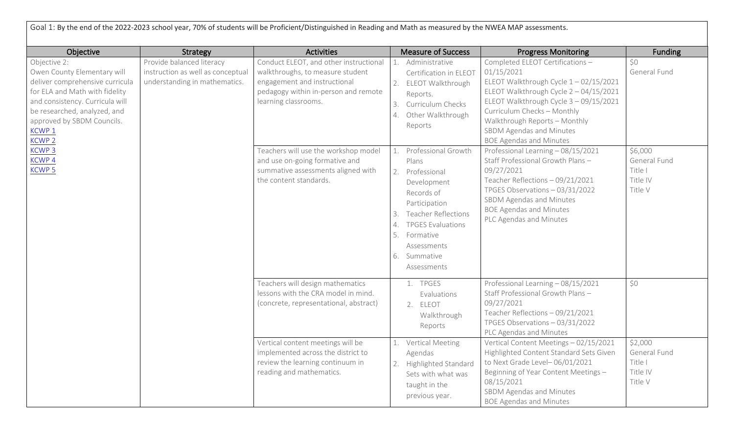| Objective                                                                                                                                                                                                                                    | Strategy                                                                                                                                | <b>Activities</b>                                                                                                                                                          | <b>Measure of Success</b>                                                                                                                                                                                                               | <b>Progress Monitoring</b>                                                                                                                                                                                                                                                                                 | <b>Funding</b>                                            |
|----------------------------------------------------------------------------------------------------------------------------------------------------------------------------------------------------------------------------------------------|-----------------------------------------------------------------------------------------------------------------------------------------|----------------------------------------------------------------------------------------------------------------------------------------------------------------------------|-----------------------------------------------------------------------------------------------------------------------------------------------------------------------------------------------------------------------------------------|------------------------------------------------------------------------------------------------------------------------------------------------------------------------------------------------------------------------------------------------------------------------------------------------------------|-----------------------------------------------------------|
| Objective 2:<br>Owen County Elementary will<br>deliver comprehensive curricula<br>for ELA and Math with fidelity<br>and consistency. Curricula will<br>be researched, analyzed, and<br>approved by SBDM Councils.<br>KCWP 1<br><b>KCWP 2</b> | Provide balanced literacy<br>instruction as well as conceptual<br>understanding in mathematics.                                         | Conduct ELEOT, and other instructional<br>walkthroughs, to measure student<br>engagement and instructional<br>pedagogy within in-person and remote<br>learning classrooms. | Administrative<br>1.<br>Certification in ELEOT<br>2. ELEOT Walkthrough<br>Reports.<br>Curriculum Checks<br>3.<br>Other Walkthrough<br>4.<br>Reports                                                                                     | Completed ELEOT Certifications -<br>01/15/2021<br>ELEOT Walkthrough Cycle 1-02/15/2021<br>ELEOT Walkthrough Cycle $2 - 04/15/2021$<br>ELEOT Walkthrough Cycle 3 - 09/15/2021<br>Curriculum Checks - Monthly<br>Walkthrough Reports - Monthly<br>SBDM Agendas and Minutes<br><b>BOE Agendas and Minutes</b> | \$0<br>General Fund                                       |
| <b>KCWP3</b><br>KCWP <sub>4</sub><br><b>KCWP5</b>                                                                                                                                                                                            |                                                                                                                                         | Teachers will use the workshop model<br>and use on-going formative and<br>summative assessments aligned with<br>the content standards.                                     | Professional Growth<br>Plans<br>2. Professional<br>Development<br>Records of<br>Participation<br><b>Teacher Reflections</b><br><b>TPGES Evaluations</b><br>4.<br>Formative<br>5.<br>Assessments<br>6. Summative<br>Assessments          | Professional Learning - 08/15/2021<br>Staff Professional Growth Plans -<br>09/27/2021<br>Teacher Reflections - 09/21/2021<br>TPGES Observations - 03/31/2022<br>SBDM Agendas and Minutes<br><b>BOE Agendas and Minutes</b><br>PLC Agendas and Minutes                                                      | \$6,000<br>General Fund<br>Title I<br>Title IV<br>Title V |
|                                                                                                                                                                                                                                              | Teachers will design mathematics<br>lessons with the CRA model in mind.<br>(concrete, representational, abstract)                       | 1. TPGES<br>Evaluations<br>2. ELEOT<br>Walkthrough<br>Reports                                                                                                              | Professional Learning - 08/15/2021<br>Staff Professional Growth Plans -<br>09/27/2021<br>Teacher Reflections - 09/21/2021<br>TPGES Observations - 03/31/2022<br>PLC Agendas and Minutes                                                 | \$0                                                                                                                                                                                                                                                                                                        |                                                           |
|                                                                                                                                                                                                                                              | Vertical content meetings will be<br>implemented across the district to<br>review the learning continuum in<br>reading and mathematics. | 1. Vertical Meeting<br>Agendas<br>2. Highlighted Standard<br>Sets with what was<br>taught in the<br>previous year.                                                         | Vertical Content Meetings - 02/15/2021<br>Highlighted Content Standard Sets Given<br>to Next Grade Level-06/01/2021<br>Beginning of Year Content Meetings -<br>08/15/2021<br>SBDM Agendas and Minutes<br><b>BOE Agendas and Minutes</b> | \$2,000<br>General Fund<br>Title I<br>Title IV<br>Title V                                                                                                                                                                                                                                                  |                                                           |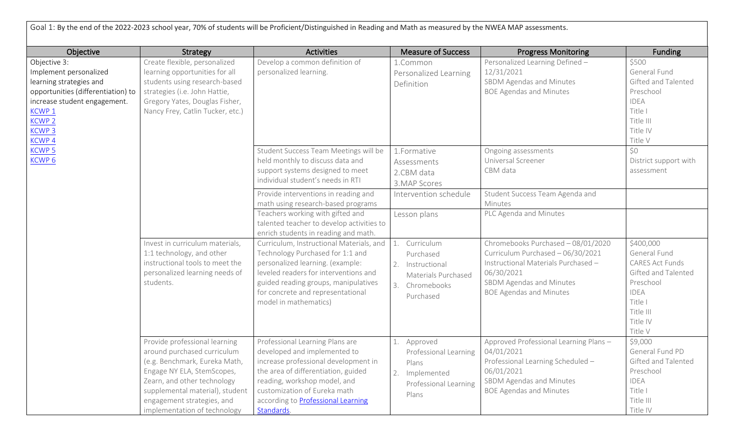| Goal 1: By the end of the 2022-2023 school year, 70% of students will be Proficient/Distinguished in Reading and Math as measured by the NWEA MAP assessments.                                                |                                                                                                                                                                                                                                                             |                                                                                                                                                                                                                                                                           |                                                                                                      |                                                                                                                                                                                            |                                                                                                                                                       |
|---------------------------------------------------------------------------------------------------------------------------------------------------------------------------------------------------------------|-------------------------------------------------------------------------------------------------------------------------------------------------------------------------------------------------------------------------------------------------------------|---------------------------------------------------------------------------------------------------------------------------------------------------------------------------------------------------------------------------------------------------------------------------|------------------------------------------------------------------------------------------------------|--------------------------------------------------------------------------------------------------------------------------------------------------------------------------------------------|-------------------------------------------------------------------------------------------------------------------------------------------------------|
| Objective                                                                                                                                                                                                     | <b>Strategy</b>                                                                                                                                                                                                                                             | <b>Activities</b>                                                                                                                                                                                                                                                         | <b>Measure of Success</b>                                                                            | <b>Progress Monitoring</b>                                                                                                                                                                 | <b>Funding</b>                                                                                                                                        |
| Objective 3:<br>Implement personalized<br>learning strategies and<br>opportunities (differentiation) to<br>increase student engagement.<br>KCWP <sub>1</sub><br><b>KCWP 2</b><br><b>KCWP3</b><br><b>KCWP4</b> | Create flexible, personalized<br>learning opportunities for all<br>students using research-based<br>strategies (i.e. John Hattie,<br>Gregory Yates, Douglas Fisher,<br>Nancy Frey, Catlin Tucker, etc.)                                                     | Develop a common definition of<br>personalized learning.                                                                                                                                                                                                                  | 1.Common<br>Personalized Learning<br>Definition                                                      | Personalized Learning Defined -<br>12/31/2021<br>SBDM Agendas and Minutes<br><b>BOE Agendas and Minutes</b>                                                                                | \$500<br>General Fund<br>Gifted and Talented<br>Preschool<br><b>IDEA</b><br>Title I<br>Title III<br>Title IV<br>Title V                               |
| <b>KCWP 5</b><br>KCWP <sub>6</sub>                                                                                                                                                                            |                                                                                                                                                                                                                                                             | Student Success Team Meetings will be<br>held monthly to discuss data and<br>support systems designed to meet<br>individual student's needs in RTI                                                                                                                        | 1.Formative<br>Assessments<br>2.CBM data<br>3. MAP Scores                                            | Ongoing assessments<br>Universal Screener<br>CBM data                                                                                                                                      | \$0<br>District support with<br>assessment                                                                                                            |
|                                                                                                                                                                                                               |                                                                                                                                                                                                                                                             | Provide interventions in reading and<br>math using research-based programs                                                                                                                                                                                                | Intervention schedule                                                                                | Student Success Team Agenda and<br>Minutes                                                                                                                                                 |                                                                                                                                                       |
|                                                                                                                                                                                                               |                                                                                                                                                                                                                                                             | Teachers working with gifted and<br>talented teacher to develop activities to<br>enrich students in reading and math.                                                                                                                                                     | Lesson plans                                                                                         | PLC Agenda and Minutes                                                                                                                                                                     |                                                                                                                                                       |
|                                                                                                                                                                                                               | Invest in curriculum materials,<br>1:1 technology, and other<br>instructional tools to meet the<br>personalized learning needs of<br>students.                                                                                                              | Curriculum, Instructional Materials, and<br>Technology Purchased for 1:1 and<br>personalized learning. (example:<br>leveled readers for interventions and<br>guided reading groups, manipulatives<br>for concrete and representational<br>model in mathematics)           | Curriculum<br>Purchased<br>2. Instructional<br>Materials Purchased<br>3.<br>Chromebooks<br>Purchased | Chromebooks Purchased - 08/01/2020<br>Curriculum Purchased - 06/30/2021<br>Instructional Materials Purchased -<br>06/30/2021<br>SBDM Agendas and Minutes<br><b>BOE Agendas and Minutes</b> | \$400,000<br>General Fund<br><b>CARES Act Funds</b><br>Gifted and Talented<br>Preschool<br><b>IDEA</b><br>Title I<br>Title III<br>Title IV<br>Title V |
|                                                                                                                                                                                                               | Provide professional learning<br>around purchased curriculum<br>(e.g. Benchmark, Eureka Math,<br>Engage NY ELA, StemScopes,<br>Zearn, and other technology<br>supplemental material), student<br>engagement strategies, and<br>implementation of technology | Professional Learning Plans are<br>developed and implemented to<br>increase professional development in<br>the area of differentiation, guided<br>reading, workshop model, and<br>customization of Eureka math<br>according to <b>Professional Learning</b><br>Standards. | 1. Approved<br>Professional Learning<br>Plans<br>Implemented<br>2.<br>Professional Learning<br>Plans | Approved Professional Learning Plans -<br>04/01/2021<br>Professional Learning Scheduled -<br>06/01/2021<br>SBDM Agendas and Minutes<br><b>BOE Agendas and Minutes</b>                      | \$9,000<br>General Fund PD<br>Gifted and Talented<br>Preschool<br><b>IDEA</b><br>Title I<br>Title III<br>Title IV                                     |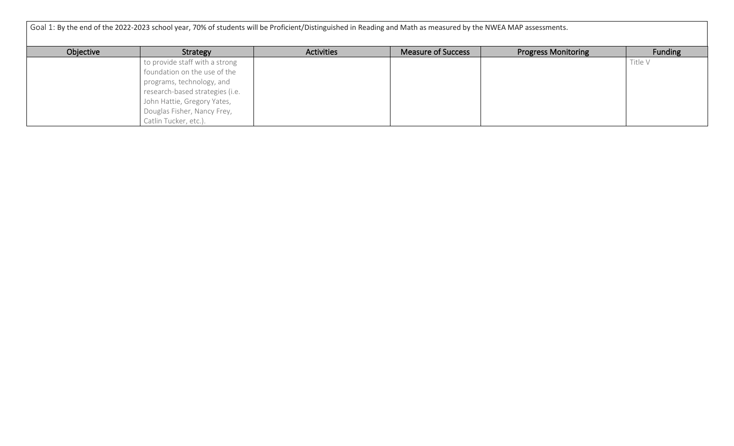| Goal 1: By the end of the 2022-2023 school year, 70% of students will be Proficient/Distinguished in Reading and Math as measured by the NWEA MAP assessments. |                                 |                   |                           |                            |                |  |  |
|----------------------------------------------------------------------------------------------------------------------------------------------------------------|---------------------------------|-------------------|---------------------------|----------------------------|----------------|--|--|
| Objective                                                                                                                                                      | Strategy                        | <b>Activities</b> | <b>Measure of Success</b> | <b>Progress Monitoring</b> | <b>Funding</b> |  |  |
|                                                                                                                                                                | to provide staff with a strong  |                   |                           |                            | Title V        |  |  |
|                                                                                                                                                                | foundation on the use of the    |                   |                           |                            |                |  |  |
|                                                                                                                                                                | programs, technology, and       |                   |                           |                            |                |  |  |
|                                                                                                                                                                | research-based strategies (i.e. |                   |                           |                            |                |  |  |
|                                                                                                                                                                | John Hattie, Gregory Yates,     |                   |                           |                            |                |  |  |
|                                                                                                                                                                | Douglas Fisher, Nancy Frey,     |                   |                           |                            |                |  |  |
|                                                                                                                                                                | Catlin Tucker, etc.).           |                   |                           |                            |                |  |  |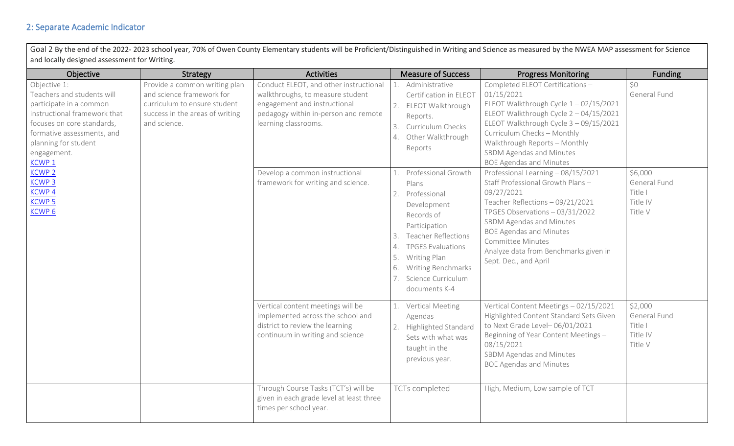### 2: Separate Academic Indicator

Goal 2 By the end of the 2022- 2023 school year, 70% of Owen County Elementary students will be Proficient/Distinguished in Writing and Science as measured by the NWEA MAP assessment for Science and locally designed assessment for Writing.

| Objective                                                                                                                                                                                                                     | Strategy                                                                                                                                      | <b>Activities</b>                                                                                                                                                          | <b>Measure of Success</b>                                                                                                                                                                                                                                                                | <b>Progress Monitoring</b>                                                                                                                                                                                                                                                                                               | <b>Funding</b>                                            |
|-------------------------------------------------------------------------------------------------------------------------------------------------------------------------------------------------------------------------------|-----------------------------------------------------------------------------------------------------------------------------------------------|----------------------------------------------------------------------------------------------------------------------------------------------------------------------------|------------------------------------------------------------------------------------------------------------------------------------------------------------------------------------------------------------------------------------------------------------------------------------------|--------------------------------------------------------------------------------------------------------------------------------------------------------------------------------------------------------------------------------------------------------------------------------------------------------------------------|-----------------------------------------------------------|
| Objective 1:<br>Teachers and students will<br>participate in a common<br>instructional framework that<br>focuses on core standards,<br>formative assessments, and<br>planning for student<br>engagement.<br>KCWP <sub>1</sub> | Provide a common writing plan<br>and science framework for<br>curriculum to ensure student<br>success in the areas of writing<br>and science. | Conduct ELEOT, and other instructional<br>walkthroughs, to measure student<br>engagement and instructional<br>pedagogy within in-person and remote<br>learning classrooms. | Administrative<br>Certification in ELEOT<br>ELEOT Walkthrough<br>2.<br>Reports.<br>Curriculum Checks<br>3.<br>Other Walkthrough<br>4.<br>Reports                                                                                                                                         | Completed ELEOT Certifications -<br>01/15/2021<br>ELEOT Walkthrough Cycle 1-02/15/2021<br>ELEOT Walkthrough Cycle 2 - 04/15/2021<br>ELEOT Walkthrough Cycle 3 - 09/15/2021<br>Curriculum Checks - Monthly<br>Walkthrough Reports - Monthly<br>SBDM Agendas and Minutes<br><b>BOE Agendas and Minutes</b>                 | \$0<br>General Fund                                       |
| <b>KCWP 2</b><br><b>KCWP3</b><br><b>KCWP4</b><br><b>KCWP5</b><br>KCWP <sub>6</sub>                                                                                                                                            |                                                                                                                                               | Develop a common instructional<br>framework for writing and science.                                                                                                       | Professional Growth<br>Plans<br>Professional<br>2.<br>Development<br>Records of<br>Participation<br><b>Teacher Reflections</b><br>3.<br><b>TPGES Evaluations</b><br>4.<br>5.<br>Writing Plan<br><b>Writing Benchmarks</b><br>6.<br>7 <sub>1</sub><br>Science Curriculum<br>documents K-4 | Professional Learning - 08/15/2021<br>Staff Professional Growth Plans -<br>09/27/2021<br>Teacher Reflections - 09/21/2021<br>TPGES Observations - 03/31/2022<br>SBDM Agendas and Minutes<br><b>BOE Agendas and Minutes</b><br><b>Committee Minutes</b><br>Analyze data from Benchmarks given in<br>Sept. Dec., and April | \$6,000<br>General Fund<br>Title I<br>Title IV<br>Title V |
|                                                                                                                                                                                                                               |                                                                                                                                               | Vertical content meetings will be<br>implemented across the school and<br>district to review the learning<br>continuum in writing and science                              | Vertical Meeting<br>Agendas<br>Highlighted Standard<br>2.<br>Sets with what was<br>taught in the<br>previous year.                                                                                                                                                                       | Vertical Content Meetings - 02/15/2021<br>Highlighted Content Standard Sets Given<br>to Next Grade Level-06/01/2021<br>Beginning of Year Content Meetings -<br>08/15/2021<br>SBDM Agendas and Minutes<br><b>BOE Agendas and Minutes</b>                                                                                  | \$2,000<br>General Fund<br>Title I<br>Title IV<br>Title V |
|                                                                                                                                                                                                                               |                                                                                                                                               | Through Course Tasks (TCT's) will be<br>given in each grade level at least three<br>times per school year.                                                                 | TCTs completed                                                                                                                                                                                                                                                                           | High, Medium, Low sample of TCT                                                                                                                                                                                                                                                                                          |                                                           |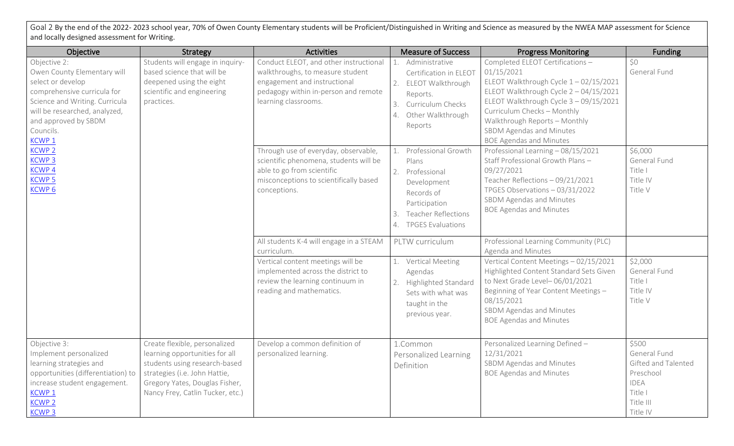Goal 2 By the end of the 2022- 2023 school year, 70% of Owen County Elementary students will be Proficient/Distinguished in Writing and Science as measured by the NWEA MAP assessment for Science and locally designed assessment for Writing.

| Objective                                                                                                                                                                                                                                                                                                               | <b>Strategy</b>                                                                                                                                                                                         | <b>Activities</b>                                                                                                                                                                                                                                                                                                                                    | <b>Measure of Success</b>                                                                                                                                                                                                                                                                                            | <b>Progress Monitoring</b>                                                                                                                                                                                                                                                                                                                                                                                                                                                                                                             | <b>Funding</b>                                                                                               |
|-------------------------------------------------------------------------------------------------------------------------------------------------------------------------------------------------------------------------------------------------------------------------------------------------------------------------|---------------------------------------------------------------------------------------------------------------------------------------------------------------------------------------------------------|------------------------------------------------------------------------------------------------------------------------------------------------------------------------------------------------------------------------------------------------------------------------------------------------------------------------------------------------------|----------------------------------------------------------------------------------------------------------------------------------------------------------------------------------------------------------------------------------------------------------------------------------------------------------------------|----------------------------------------------------------------------------------------------------------------------------------------------------------------------------------------------------------------------------------------------------------------------------------------------------------------------------------------------------------------------------------------------------------------------------------------------------------------------------------------------------------------------------------------|--------------------------------------------------------------------------------------------------------------|
| Objective 2:<br>Owen County Elementary will<br>select or develop<br>comprehensive curricula for<br>Science and Writing. Curricula<br>will be researched, analyzed,<br>and approved by SBDM<br>Councils.<br>KCWP <sub>1</sub><br><b>KCWP 2</b><br><b>KCWP3</b><br>KCWP <sub>4</sub><br><b>KCWP5</b><br>KCWP <sub>6</sub> | Students will engage in inquiry-<br>based science that will be<br>deepened using the eight<br>scientific and engineering<br>practices.                                                                  | Conduct ELEOT, and other instructional<br>walkthroughs, to measure student<br>engagement and instructional<br>pedagogy within in-person and remote<br>learning classrooms.<br>Through use of everyday, observable,<br>scientific phenomena, students will be<br>able to go from scientific<br>misconceptions to scientifically based<br>conceptions. | Administrative<br>Certification in ELEOT<br>2.<br>ELEOT Walkthrough<br>Reports.<br>Curriculum Checks<br>3.<br>Other Walkthrough<br>Reports<br>Professional Growth<br>1.<br>Plans<br>2.<br>Professional<br>Development<br>Records of<br>Participation<br><b>Teacher Reflections</b><br>3.<br><b>TPGES Evaluations</b> | Completed ELEOT Certifications -<br>01/15/2021<br>ELEOT Walkthrough Cycle 1-02/15/2021<br>ELEOT Walkthrough Cycle 2 - 04/15/2021<br>ELEOT Walkthrough Cycle 3 - 09/15/2021<br>Curriculum Checks - Monthly<br>Walkthrough Reports - Monthly<br>SBDM Agendas and Minutes<br><b>BOE Agendas and Minutes</b><br>Professional Learning - 08/15/2021<br>Staff Professional Growth Plans -<br>09/27/2021<br>Teacher Reflections - 09/21/2021<br>TPGES Observations - 03/31/2022<br>SBDM Agendas and Minutes<br><b>BOE Agendas and Minutes</b> | \$0<br>General Fund<br>\$6,000<br>General Fund<br>Title I<br>Title IV<br>Title V                             |
|                                                                                                                                                                                                                                                                                                                         |                                                                                                                                                                                                         | All students K-4 will engage in a STEAM<br>curriculum.<br>Vertical content meetings will be<br>implemented across the district to<br>review the learning continuum in<br>reading and mathematics.                                                                                                                                                    | PLTW curriculum<br>Vertical Meeting<br>1.<br>Agendas<br>Highlighted Standard<br>2.<br>Sets with what was<br>taught in the<br>previous year.                                                                                                                                                                          | Professional Learning Community (PLC)<br>Agenda and Minutes<br>Vertical Content Meetings - 02/15/2021<br>Highlighted Content Standard Sets Given<br>to Next Grade Level-06/01/2021<br>Beginning of Year Content Meetings -<br>08/15/2021<br>SBDM Agendas and Minutes<br><b>BOE Agendas and Minutes</b>                                                                                                                                                                                                                                 | \$2,000<br>General Fund<br>Title I<br>Title IV<br>Title V                                                    |
| Objective 3:<br>Implement personalized<br>learning strategies and<br>opportunities (differentiation) to<br>increase student engagement.<br>KCWP <sub>1</sub><br><b>KCWP 2</b><br><b>KCWP3</b>                                                                                                                           | Create flexible, personalized<br>learning opportunities for all<br>students using research-based<br>strategies (i.e. John Hattie,<br>Gregory Yates, Douglas Fisher,<br>Nancy Frey, Catlin Tucker, etc.) | Develop a common definition of<br>personalized learning.                                                                                                                                                                                                                                                                                             | 1.Common<br>Personalized Learning<br>Definition                                                                                                                                                                                                                                                                      | Personalized Learning Defined -<br>12/31/2021<br>SBDM Agendas and Minutes<br><b>BOE Agendas and Minutes</b>                                                                                                                                                                                                                                                                                                                                                                                                                            | \$500<br>General Fund<br>Gifted and Talented<br>Preschool<br><b>IDEA</b><br>Title I<br>Title III<br>Title IV |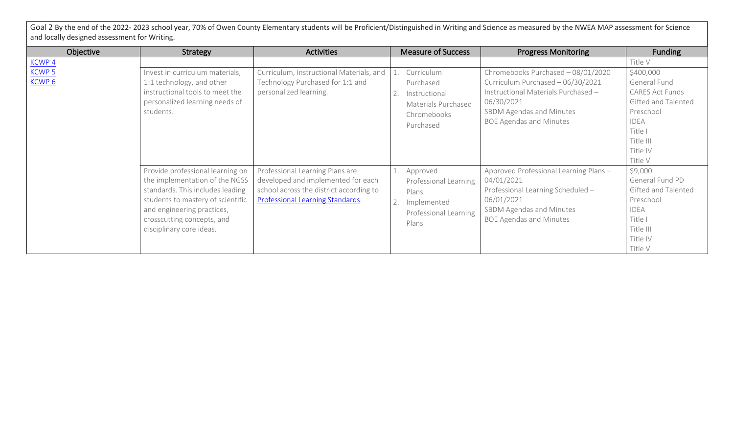Goal 2 By the end of the 2022- 2023 school year, 70% of Owen County Elementary students will be Proficient/Distinguished in Writing and Science as measured by the NWEA MAP assessment for Science and locally designed assessment for Writing.

| Objective                              | <b>Strategy</b>                                                                                                                                                                                                                     | <b>Activities</b>                                                                                                                                    | <b>Measure of Success</b>                                                                   | <b>Progress Monitoring</b>                                                                                                                                                                 | <b>Funding</b>                                                                                                                                        |
|----------------------------------------|-------------------------------------------------------------------------------------------------------------------------------------------------------------------------------------------------------------------------------------|------------------------------------------------------------------------------------------------------------------------------------------------------|---------------------------------------------------------------------------------------------|--------------------------------------------------------------------------------------------------------------------------------------------------------------------------------------------|-------------------------------------------------------------------------------------------------------------------------------------------------------|
| KCWP <sub>4</sub>                      |                                                                                                                                                                                                                                     |                                                                                                                                                      |                                                                                             |                                                                                                                                                                                            | Title V                                                                                                                                               |
| KCWP <sub>5</sub><br>KCWP <sub>6</sub> | Invest in curriculum materials,<br>1:1 technology, and other<br>instructional tools to meet the<br>personalized learning needs of<br>students.                                                                                      | Curriculum, Instructional Materials, and<br>Technology Purchased for 1:1 and<br>personalized learning.                                               | Curriculum<br>Purchased<br>Instructional<br>Materials Purchased<br>Chromebooks<br>Purchased | Chromebooks Purchased - 08/01/2020<br>Curriculum Purchased - 06/30/2021<br>Instructional Materials Purchased -<br>06/30/2021<br>SBDM Agendas and Minutes<br><b>BOE Agendas and Minutes</b> | \$400,000<br>General Fund<br><b>CARES Act Funds</b><br>Gifted and Talented<br>Preschool<br><b>IDEA</b><br>Title I<br>Title III<br>Title IV<br>Title V |
|                                        | Provide professional learning on<br>the implementation of the NGSS<br>standards. This includes leading<br>students to mastery of scientific<br>and engineering practices,<br>crosscutting concepts, and<br>disciplinary core ideas. | Professional Learning Plans are<br>developed and implemented for each<br>school across the district according to<br>Professional Learning Standards. | Approved<br>Professional Learning<br>Plans<br>Implemented<br>Professional Learning<br>Plans | Approved Professional Learning Plans -<br>04/01/2021<br>Professional Learning Scheduled -<br>06/01/2021<br>SBDM Agendas and Minutes<br><b>BOE Agendas and Minutes</b>                      | \$9,000<br>General Fund PD<br>Gifted and Talented<br>Preschool<br><b>IDEA</b><br>Title I<br>Title III<br>Title IV<br>Title V                          |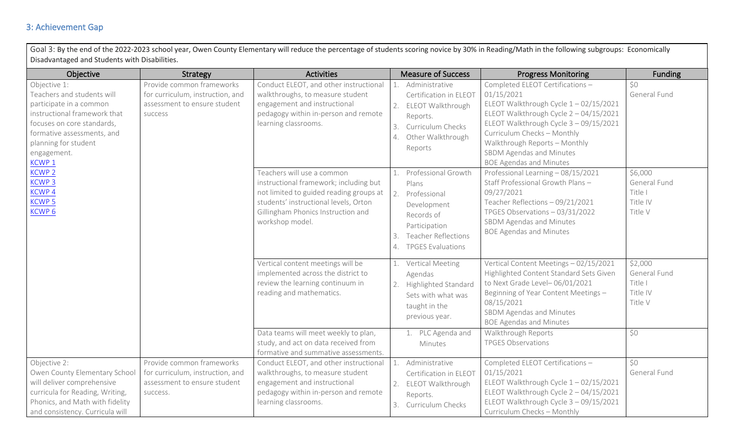# 3: Achievement Gap

Goal 3: By the end of the 2022-2023 school year, Owen County Elementary will reduce the percentage of students scoring novice by 30% in Reading/Math in the following subgroups: Economically Disadvantaged and Students with Disabilities.

| Objective                                                                                                                                                                                                                     | Strategy                                                                                                        | <b>Activities</b>                                                                                                                                                                                                 | <b>Measure of Success</b>                                                                                                                                              | <b>Progress Monitoring</b>                                                                                                                                                                                                                                                                                   | <b>Funding</b>                                            |
|-------------------------------------------------------------------------------------------------------------------------------------------------------------------------------------------------------------------------------|-----------------------------------------------------------------------------------------------------------------|-------------------------------------------------------------------------------------------------------------------------------------------------------------------------------------------------------------------|------------------------------------------------------------------------------------------------------------------------------------------------------------------------|--------------------------------------------------------------------------------------------------------------------------------------------------------------------------------------------------------------------------------------------------------------------------------------------------------------|-----------------------------------------------------------|
| Objective 1:<br>Teachers and students will<br>participate in a common<br>instructional framework that<br>focuses on core standards,<br>formative assessments, and<br>planning for student<br>engagement.<br>KCWP <sub>1</sub> | Provide common frameworks<br>for curriculum, instruction, and<br>assessment to ensure student<br><b>SUCCESS</b> | Conduct ELEOT, and other instructional<br>walkthroughs, to measure student<br>engagement and instructional<br>pedagogy within in-person and remote<br>learning classrooms.                                        | Administrative<br>Certification in ELEOT<br>ELEOT Walkthrough<br>2.<br>Reports.<br>Curriculum Checks<br>3.<br>Other Walkthrough<br>4.<br>Reports                       | Completed ELEOT Certifications -<br>01/15/2021<br>ELEOT Walkthrough Cycle $1 - 02/15/2021$<br>ELEOT Walkthrough Cycle 2 - 04/15/2021<br>ELEOT Walkthrough Cycle 3 - 09/15/2021<br>Curriculum Checks - Monthly<br>Walkthrough Reports - Monthly<br>SBDM Agendas and Minutes<br><b>BOE Agendas and Minutes</b> | \$0<br>General Fund                                       |
| <b>KCWP 2</b><br><b>KCWP3</b><br>KCWP <sub>4</sub><br><b>KCWP5</b><br>KCWP <sub>6</sub>                                                                                                                                       |                                                                                                                 | Teachers will use a common<br>instructional framework; including but<br>not limited to guided reading groups at<br>students' instructional levels, Orton<br>Gillingham Phonics Instruction and<br>workshop model. | Professional Growth<br>Plans<br>2.<br>Professional<br>Development<br>Records of<br>Participation<br><b>Teacher Reflections</b><br>3.<br><b>TPGES Evaluations</b><br>4. | Professional Learning - 08/15/2021<br>Staff Professional Growth Plans -<br>09/27/2021<br>Teacher Reflections - 09/21/2021<br>TPGES Observations - 03/31/2022<br><b>SBDM Agendas and Minutes</b><br><b>BOE Agendas and Minutes</b>                                                                            | \$6,000<br>General Fund<br>Title I<br>Title IV<br>Title V |
|                                                                                                                                                                                                                               |                                                                                                                 | Vertical content meetings will be<br>implemented across the district to<br>review the learning continuum in<br>reading and mathematics.                                                                           | Vertical Meeting<br>Agendas<br><b>Highlighted Standard</b><br>2.<br>Sets with what was<br>taught in the<br>previous year.                                              | Vertical Content Meetings - 02/15/2021<br>Highlighted Content Standard Sets Given<br>to Next Grade Level-06/01/2021<br>Beginning of Year Content Meetings -<br>08/15/2021<br>SBDM Agendas and Minutes<br><b>BOE Agendas and Minutes</b>                                                                      | \$2,000<br>General Fund<br>Title I<br>Title IV<br>Title V |
|                                                                                                                                                                                                                               |                                                                                                                 | Data teams will meet weekly to plan,<br>study, and act on data received from<br>formative and summative assessments.                                                                                              | 1. PLC Agenda and<br>Minutes                                                                                                                                           | Walkthrough Reports<br><b>TPGES Observations</b>                                                                                                                                                                                                                                                             | \$0                                                       |
| Objective 2:<br>Owen County Elementary School<br>will deliver comprehensive<br>curricula for Reading, Writing,<br>Phonics, and Math with fidelity<br>and consistency. Curricula will                                          | Provide common frameworks<br>for curriculum, instruction, and<br>assessment to ensure student<br>success.       | Conduct ELEOT, and other instructional<br>walkthroughs, to measure student<br>engagement and instructional<br>pedagogy within in-person and remote<br>learning classrooms.                                        | Administrative<br>Certification in ELEOT<br>ELEOT Walkthrough<br>2.<br>Reports.<br>Curriculum Checks                                                                   | Completed ELEOT Certifications -<br>01/15/2021<br>ELEOT Walkthrough Cycle $1 - 02/15/2021$<br>ELEOT Walkthrough Cycle 2 - 04/15/2021<br>ELEOT Walkthrough Cycle 3 - 09/15/2021<br>Curriculum Checks - Monthly                                                                                                | \$0<br>General Fund                                       |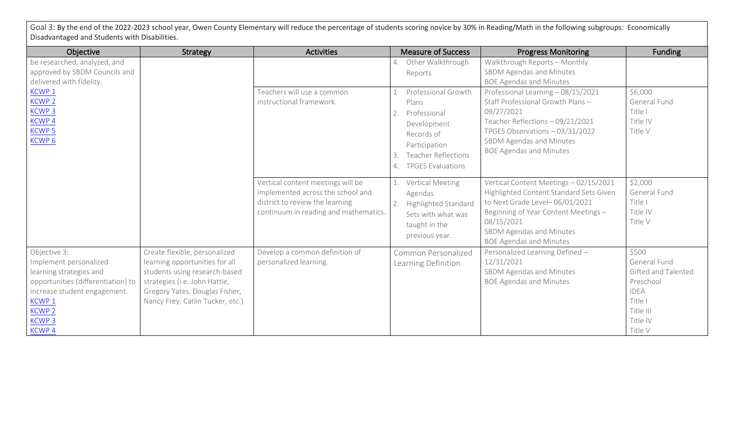| Goal 3: By the end of the 2022-2023 school year, Owen County Elementary will reduce the percentage of students scoring novice by 30% in Reading/Math in the following subgroups: Economically<br>Disadvantaged and Students with Disabilities. |                                                                                                                                                                                                         |                                                                                                                                                    |                                                                                                                                                                        |                                                                                                                                                                                                                                         |                                                                                                                         |  |  |
|------------------------------------------------------------------------------------------------------------------------------------------------------------------------------------------------------------------------------------------------|---------------------------------------------------------------------------------------------------------------------------------------------------------------------------------------------------------|----------------------------------------------------------------------------------------------------------------------------------------------------|------------------------------------------------------------------------------------------------------------------------------------------------------------------------|-----------------------------------------------------------------------------------------------------------------------------------------------------------------------------------------------------------------------------------------|-------------------------------------------------------------------------------------------------------------------------|--|--|
| Objective                                                                                                                                                                                                                                      | Strategy                                                                                                                                                                                                | <b>Activities</b>                                                                                                                                  | <b>Measure of Success</b>                                                                                                                                              | <b>Progress Monitoring</b>                                                                                                                                                                                                              | <b>Funding</b>                                                                                                          |  |  |
| be researched, analyzed, and<br>approved by SBDM Councils and<br>delivered with fidelity.                                                                                                                                                      |                                                                                                                                                                                                         |                                                                                                                                                    | 4. Other Walkthrough<br>Reports                                                                                                                                        | Walkthrough Reports - Monthly<br>SBDM Agendas and Minutes<br><b>BOE Agendas and Minutes</b>                                                                                                                                             |                                                                                                                         |  |  |
| KCWP <sub>1</sub><br><b>KCWP 2</b><br><b>KCWP3</b><br><b>KCWP4</b><br><b>KCWP5</b><br>KCWP <sub>6</sub>                                                                                                                                        |                                                                                                                                                                                                         | Teachers will use a common<br>instructional framework.                                                                                             | Professional Growth<br>Plans<br>2.<br>Professional<br>Development<br>Records of<br>Participation<br>3.<br><b>Teacher Reflections</b><br><b>TPGES Evaluations</b><br>4. | Professional Learning - 08/15/2021<br>Staff Professional Growth Plans -<br>09/27/2021<br>Teacher Reflections - 09/21/2021<br>TPGES Observations - 03/31/2022<br>SBDM Agendas and Minutes<br><b>BOE Agendas and Minutes</b>              | \$6,000<br>General Fund<br>Title I<br>Title IV<br>Title V                                                               |  |  |
|                                                                                                                                                                                                                                                |                                                                                                                                                                                                         | Vertical content meetings will be<br>implemented across the school and<br>district to review the learning<br>continuum in reading and mathematics. | Vertical Meeting<br>Agendas<br>2.<br><b>Highlighted Standard</b><br>Sets with what was<br>taught in the<br>previous year.                                              | Vertical Content Meetings - 02/15/2021<br>Highlighted Content Standard Sets Given<br>to Next Grade Level-06/01/2021<br>Beginning of Year Content Meetings -<br>08/15/2021<br>SBDM Agendas and Minutes<br><b>BOE Agendas and Minutes</b> | \$2,000<br>General Fund<br>Title I<br>Title IV<br>Title V                                                               |  |  |
| Objective 3:<br>Implement personalized<br>learning strategies and<br>opportunities (differentiation) to<br>increase student engagement.<br>KCWP <sub>1</sub><br><b>KCWP 2</b><br><b>KCWP3</b><br><b>KCWP4</b>                                  | Create flexible, personalized<br>learning opportunities for all<br>students using research-based<br>strategies (i.e. John Hattie,<br>Gregory Yates, Douglas Fisher,<br>Nancy Frey, Catlin Tucker, etc.) | Develop a common definition of<br>personalized learning.                                                                                           | Common Personalized<br>Learning Definition                                                                                                                             | Personalized Learning Defined -<br>12/31/2021<br>SBDM Agendas and Minutes<br><b>BOE Agendas and Minutes</b>                                                                                                                             | \$500<br>General Fund<br>Gifted and Talented<br>Preschool<br><b>IDEA</b><br>Title I<br>Title III<br>Title IV<br>Title V |  |  |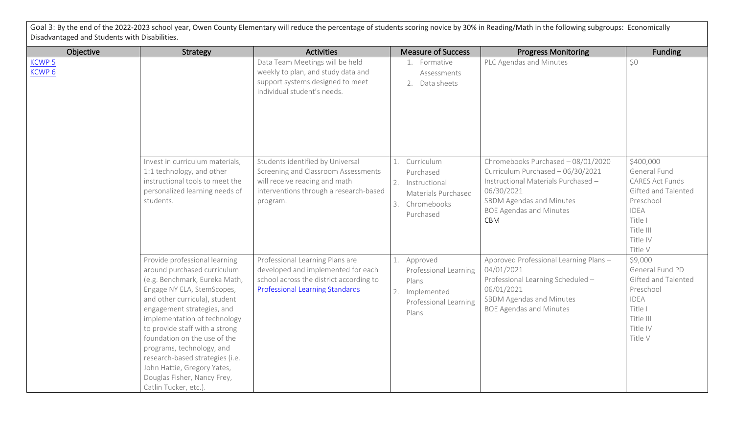Goal 3: By the end of the 2022-2023 school year, Owen County Elementary will reduce the percentage of students scoring novice by 30% in Reading/Math in the following subgroups: Economically Disadvantaged and Students with Disabilities.

| Objective                         | Strategy                                                                                                                                                                                                                                                                                                                                                                                                                                            | <b>Activities</b>                                                                                                                                              | <b>Measure of Success</b>                                                                            | <b>Progress Monitoring</b>                                                                                                                                                                        | <b>Funding</b>                                                                                                                                        |
|-----------------------------------|-----------------------------------------------------------------------------------------------------------------------------------------------------------------------------------------------------------------------------------------------------------------------------------------------------------------------------------------------------------------------------------------------------------------------------------------------------|----------------------------------------------------------------------------------------------------------------------------------------------------------------|------------------------------------------------------------------------------------------------------|---------------------------------------------------------------------------------------------------------------------------------------------------------------------------------------------------|-------------------------------------------------------------------------------------------------------------------------------------------------------|
| <b>KCWP5</b><br>KCWP <sub>6</sub> |                                                                                                                                                                                                                                                                                                                                                                                                                                                     | Data Team Meetings will be held<br>weekly to plan, and study data and<br>support systems designed to meet<br>individual student's needs.                       | 1. Formative<br>Assessments<br>2. Data sheets                                                        | PLC Agendas and Minutes                                                                                                                                                                           | \$0                                                                                                                                                   |
|                                   | Invest in curriculum materials,<br>1:1 technology, and other<br>instructional tools to meet the<br>personalized learning needs of<br>students.                                                                                                                                                                                                                                                                                                      | Students identified by Universal<br>Screening and Classroom Assessments<br>will receive reading and math<br>interventions through a research-based<br>program. | Curriculum<br>Purchased<br>2. Instructional<br>Materials Purchased<br>Chromebooks<br>3.<br>Purchased | Chromebooks Purchased - 08/01/2020<br>Curriculum Purchased - 06/30/2021<br>Instructional Materials Purchased -<br>06/30/2021<br>SBDM Agendas and Minutes<br><b>BOE Agendas and Minutes</b><br>CBM | \$400,000<br>General Fund<br><b>CARES Act Funds</b><br>Gifted and Talented<br>Preschool<br><b>IDEA</b><br>Title I<br>Title III<br>Title IV<br>Title V |
|                                   | Provide professional learning<br>around purchased curriculum<br>(e.g. Benchmark, Eureka Math,<br>Engage NY ELA, StemScopes,<br>and other curricula), student<br>engagement strategies, and<br>implementation of technology<br>to provide staff with a strong<br>foundation on the use of the<br>programs, technology, and<br>research-based strategies (i.e.<br>John Hattie, Gregory Yates,<br>Douglas Fisher, Nancy Frey,<br>Catlin Tucker, etc.). | Professional Learning Plans are<br>developed and implemented for each<br>school across the district according to<br><b>Professional Learning Standards</b>     | Approved<br>Professional Learning<br>Plans<br>Implemented<br>2.<br>Professional Learning<br>Plans    | Approved Professional Learning Plans -<br>04/01/2021<br>Professional Learning Scheduled -<br>06/01/2021<br>SBDM Agendas and Minutes<br><b>BOE Agendas and Minutes</b>                             | \$9,000<br>General Fund PD<br>Gifted and Talented<br>Preschool<br><b>IDEA</b><br>Title I<br>Title III<br>Title IV<br>Title V                          |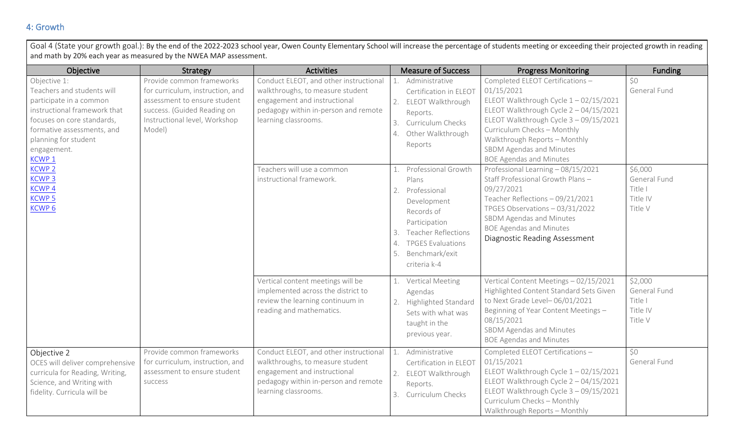### 4: Growth

| Goal 4 (State your growth goal.): By the end of the 2022-2023 school year, Owen County Elementary School will increase the percentage of students meeting or exceeding their projected growth in reading<br>and math by 20% each year as measured by the NWEA MAP assessment. |                                                                                                                                                                         |                                                                                                                                                                            |                                                                                                                                                                                                                |                                                                                                                                                                                                                                                                                                          |                                                           |
|-------------------------------------------------------------------------------------------------------------------------------------------------------------------------------------------------------------------------------------------------------------------------------|-------------------------------------------------------------------------------------------------------------------------------------------------------------------------|----------------------------------------------------------------------------------------------------------------------------------------------------------------------------|----------------------------------------------------------------------------------------------------------------------------------------------------------------------------------------------------------------|----------------------------------------------------------------------------------------------------------------------------------------------------------------------------------------------------------------------------------------------------------------------------------------------------------|-----------------------------------------------------------|
| Objective                                                                                                                                                                                                                                                                     | Strategy                                                                                                                                                                | <b>Activities</b>                                                                                                                                                          | <b>Measure of Success</b>                                                                                                                                                                                      | <b>Progress Monitoring</b>                                                                                                                                                                                                                                                                               | Funding                                                   |
| Objective 1:<br>Teachers and students will<br>participate in a common<br>instructional framework that<br>focuses on core standards,<br>formative assessments, and<br>planning for student<br>engagement.<br><b>KCWP1</b>                                                      | Provide common frameworks<br>for curriculum, instruction, and<br>assessment to ensure student<br>success. (Guided Reading on<br>Instructional level, Workshop<br>Model) | Conduct ELEOT, and other instructional<br>walkthroughs, to measure student<br>engagement and instructional<br>pedagogy within in-person and remote<br>learning classrooms. | Administrative<br>Certification in ELEOT<br>2. ELEOT Walkthrough<br>Reports.<br>Curriculum Checks<br>3.<br>Other Walkthrough<br>4.<br>Reports                                                                  | Completed ELEOT Certifications -<br>01/15/2021<br>ELEOT Walkthrough Cycle 1-02/15/2021<br>ELEOT Walkthrough Cycle 2 - 04/15/2021<br>ELEOT Walkthrough Cycle 3 - 09/15/2021<br>Curriculum Checks - Monthly<br>Walkthrough Reports - Monthly<br>SBDM Agendas and Minutes<br><b>BOE Agendas and Minutes</b> | \$0<br>General Fund                                       |
| <b>KCWP 2</b><br><b>KCWP3</b><br>KCWP 4<br><b>KCWP 5</b><br>KCWP <sub>6</sub>                                                                                                                                                                                                 |                                                                                                                                                                         | Teachers will use a common<br>instructional framework.                                                                                                                     | Professional Growth<br>Plans<br>Professional<br>2.<br>Development<br>Records of<br>Participation<br><b>Teacher Reflections</b><br>3.<br>4.<br><b>TPGES Evaluations</b><br>Benchmark/exit<br>5.<br>criteria k-4 | Professional Learning - 08/15/2021<br>Staff Professional Growth Plans -<br>09/27/2021<br>Teacher Reflections - 09/21/2021<br>TPGES Observations - 03/31/2022<br>SBDM Agendas and Minutes<br><b>BOE Agendas and Minutes</b><br>Diagnostic Reading Assessment                                              | \$6,000<br>General Fund<br>Title I<br>Title IV<br>Title V |
|                                                                                                                                                                                                                                                                               |                                                                                                                                                                         | Vertical content meetings will be<br>implemented across the district to<br>review the learning continuum in<br>reading and mathematics.                                    | Vertical Meeting<br>1.<br>Agendas<br>2. Highlighted Standard<br>Sets with what was<br>taught in the<br>previous year.                                                                                          | Vertical Content Meetings - 02/15/2021<br>Highlighted Content Standard Sets Given<br>to Next Grade Level-06/01/2021<br>Beginning of Year Content Meetings -<br>08/15/2021<br>SBDM Agendas and Minutes<br><b>BOE Agendas and Minutes</b>                                                                  | \$2,000<br>General Fund<br>Title I<br>Title IV<br>Title V |
| Objective 2<br>OCES will deliver comprehensive<br>curricula for Reading, Writing,<br>Science, and Writing with<br>fidelity. Curricula will be                                                                                                                                 | Provide common frameworks<br>for curriculum, instruction, and<br>assessment to ensure student<br>success                                                                | Conduct ELEOT, and other instructional<br>walkthroughs, to measure student<br>engagement and instructional<br>pedagogy within in-person and remote<br>learning classrooms. | Administrative<br>1.<br>Certification in ELEOT<br>2. ELEOT Walkthrough<br>Reports.<br>Curriculum Checks<br>3.                                                                                                  | Completed ELEOT Certifications -<br>01/15/2021<br>ELEOT Walkthrough Cycle $1 - 02/15/2021$<br>ELEOT Walkthrough Cycle 2 - 04/15/2021<br>ELEOT Walkthrough Cycle 3 - 09/15/2021<br>Curriculum Checks - Monthly<br>Walkthrough Reports - Monthly                                                           | \$0<br>General Fund                                       |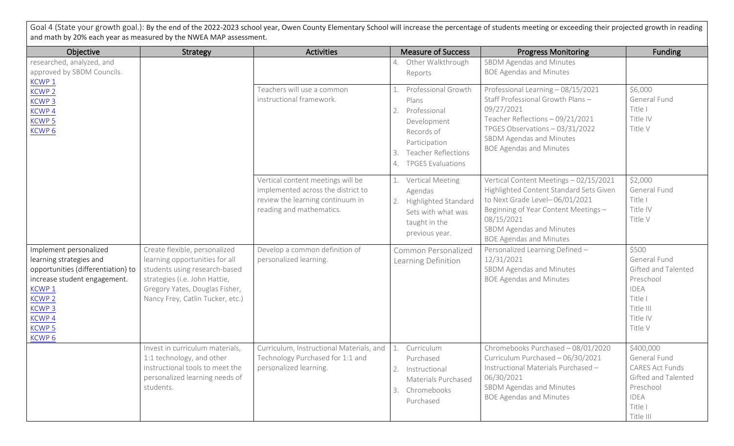| Objective                                                                                                                                                                                                                                              | Strategy                                                                                                                                                                                                | <b>Activities</b>                                                                                                                       | <b>Measure of Success</b>                                                                                                                                        | <b>Progress Monitoring</b>                                                                                                                                                                                                              | <b>Funding</b>                                                                                                                 |
|--------------------------------------------------------------------------------------------------------------------------------------------------------------------------------------------------------------------------------------------------------|---------------------------------------------------------------------------------------------------------------------------------------------------------------------------------------------------------|-----------------------------------------------------------------------------------------------------------------------------------------|------------------------------------------------------------------------------------------------------------------------------------------------------------------|-----------------------------------------------------------------------------------------------------------------------------------------------------------------------------------------------------------------------------------------|--------------------------------------------------------------------------------------------------------------------------------|
| researched, analyzed, and<br>approved by SBDM Councils.<br><b>KCWP1</b>                                                                                                                                                                                |                                                                                                                                                                                                         |                                                                                                                                         | Other Walkthrough<br>4.<br>Reports                                                                                                                               | SBDM Agendas and Minutes<br><b>BOE Agendas and Minutes</b>                                                                                                                                                                              |                                                                                                                                |
| <b>KCWP 2</b><br><b>KCWP3</b><br>KCWP <sub>4</sub><br><b>KCWP5</b><br>KCWP <sub>6</sub>                                                                                                                                                                |                                                                                                                                                                                                         | Teachers will use a common<br>instructional framework.                                                                                  | Professional Growth<br>Plans<br>Professional<br>2.<br>Development<br>Records of<br>Participation<br><b>Teacher Reflections</b><br>3.<br><b>TPGES Evaluations</b> | Professional Learning - 08/15/2021<br>Staff Professional Growth Plans -<br>09/27/2021<br>Teacher Reflections - 09/21/2021<br>TPGES Observations - 03/31/2022<br>SBDM Agendas and Minutes<br><b>BOE Agendas and Minutes</b>              | \$6,000<br>General Fund<br>Title I<br>Title IV<br>Title V                                                                      |
|                                                                                                                                                                                                                                                        |                                                                                                                                                                                                         | Vertical content meetings will be<br>implemented across the district to<br>review the learning continuum in<br>reading and mathematics. | Vertical Meeting<br>Agendas<br><b>Highlighted Standard</b><br>2.<br>Sets with what was<br>taught in the<br>previous year.                                        | Vertical Content Meetings - 02/15/2021<br>Highlighted Content Standard Sets Given<br>to Next Grade Level-06/01/2021<br>Beginning of Year Content Meetings -<br>08/15/2021<br>SBDM Agendas and Minutes<br><b>BOE Agendas and Minutes</b> | \$2,000<br>General Fund<br>Title I<br>Title IV<br>Title V                                                                      |
| Implement personalized<br>learning strategies and<br>opportunities (differentiation) to<br>increase student engagement.<br>KCWP <sub>1</sub><br>KCWP <sub>2</sub><br><b>KCWP<sub>3</sub></b><br><b>KCWP4</b><br>KCWP <sub>5</sub><br>KCWP <sub>6</sub> | Create flexible, personalized<br>learning opportunities for all<br>students using research-based<br>strategies (i.e. John Hattie,<br>Gregory Yates, Douglas Fisher,<br>Nancy Frey, Catlin Tucker, etc.) | Develop a common definition of<br>personalized learning.                                                                                | Common Personalized<br>Learning Definition                                                                                                                       | Personalized Learning Defined -<br>12/31/2021<br>SBDM Agendas and Minutes<br><b>BOE Agendas and Minutes</b>                                                                                                                             | \$500<br>General Fund<br>Gifted and Talented<br>Preschool<br><b>IDEA</b><br>Title I<br>Title III<br>Title IV<br>Title V        |
|                                                                                                                                                                                                                                                        | Invest in curriculum materials,<br>1:1 technology, and other<br>instructional tools to meet the<br>personalized learning needs of<br>students.                                                          | Curriculum, Instructional Materials, and<br>Technology Purchased for 1:1 and<br>personalized learning.                                  | Curriculum<br>Purchased<br>Instructional<br>2.<br>Materials Purchased<br>Chromebooks<br>3.<br>Purchased                                                          | Chromebooks Purchased - 08/01/2020<br>Curriculum Purchased - 06/30/2021<br>Instructional Materials Purchased -<br>06/30/2021<br>SBDM Agendas and Minutes<br><b>BOE Agendas and Minutes</b>                                              | \$400,000<br>General Fund<br><b>CARES Act Funds</b><br>Gifted and Talented<br>Preschool<br><b>IDEA</b><br>Title I<br>Title III |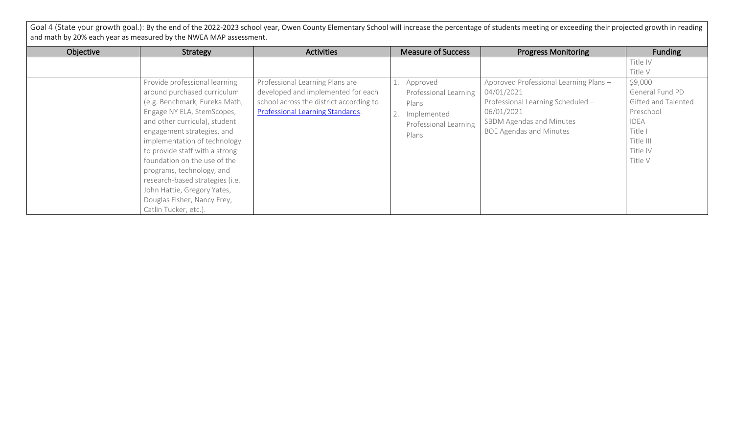Goal 4 (State your growth goal.): By the end of the 2022-2023 school year, Owen County Elementary School will increase the percentage of students meeting or exceeding their projected growth in reading and math by 20% each year as measured by the NWEA MAP assessment.

| Objective | Strategy                                                                                                                                                                                                                                                                                                                                                     | <b>Activities</b>                                                                                                                                    | <b>Measure of Success</b>                                                                   | <b>Progress Monitoring</b>                                                                                                                                            | Funding                                                                                                                                             |
|-----------|--------------------------------------------------------------------------------------------------------------------------------------------------------------------------------------------------------------------------------------------------------------------------------------------------------------------------------------------------------------|------------------------------------------------------------------------------------------------------------------------------------------------------|---------------------------------------------------------------------------------------------|-----------------------------------------------------------------------------------------------------------------------------------------------------------------------|-----------------------------------------------------------------------------------------------------------------------------------------------------|
|           | Provide professional learning<br>around purchased curriculum<br>(e.g. Benchmark, Eureka Math,<br>Engage NY ELA, StemScopes,<br>and other curricula), student<br>engagement strategies, and<br>implementation of technology<br>to provide staff with a strong<br>foundation on the use of the<br>programs, technology, and<br>research-based strategies (i.e. | Professional Learning Plans are<br>developed and implemented for each<br>school across the district according to<br>Professional Learning Standards. | Approved<br>Professional Learning<br>Plans<br>Implemented<br>Professional Learning<br>Plans | Approved Professional Learning Plans -<br>04/01/2021<br>Professional Learning Scheduled -<br>06/01/2021<br>SBDM Agendas and Minutes<br><b>BOE Agendas and Minutes</b> | Title IV<br>Title V<br>\$9,000<br>General Fund PD<br>Gifted and Talented<br>Preschool<br><b>IDEA</b><br>Title I<br>Title III<br>Title IV<br>Title V |
|           | John Hattie, Gregory Yates,<br>Douglas Fisher, Nancy Frey,<br>Catlin Tucker, etc.).                                                                                                                                                                                                                                                                          |                                                                                                                                                      |                                                                                             |                                                                                                                                                                       |                                                                                                                                                     |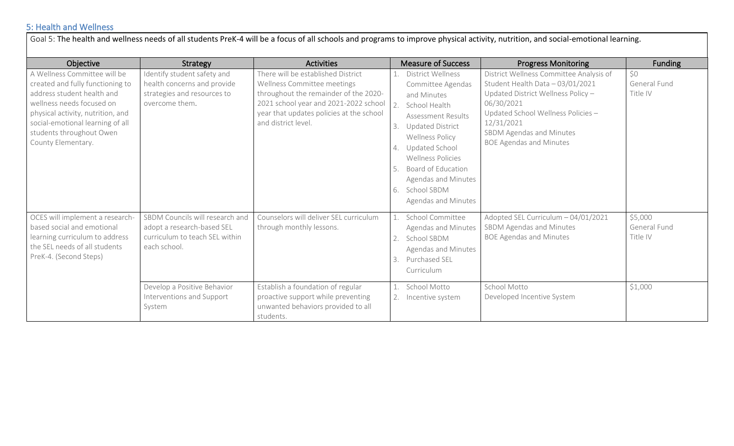# 5: Health and Wellness

| Goal 5: The health and wellness needs of all students PreK-4 will be a focus of all schools and programs to improve physical activity, nutrition, and social-emotional learning.                                                                       |                                                                                                                 |                                                                                                                                                                                                                        |                                                                                                                                                                                                                                                                                                                    |                                                                                                                                                                                                                                                   |                                     |  |
|--------------------------------------------------------------------------------------------------------------------------------------------------------------------------------------------------------------------------------------------------------|-----------------------------------------------------------------------------------------------------------------|------------------------------------------------------------------------------------------------------------------------------------------------------------------------------------------------------------------------|--------------------------------------------------------------------------------------------------------------------------------------------------------------------------------------------------------------------------------------------------------------------------------------------------------------------|---------------------------------------------------------------------------------------------------------------------------------------------------------------------------------------------------------------------------------------------------|-------------------------------------|--|
| Objective                                                                                                                                                                                                                                              | Strategy                                                                                                        | <b>Activities</b>                                                                                                                                                                                                      | <b>Measure of Success</b>                                                                                                                                                                                                                                                                                          | <b>Progress Monitoring</b>                                                                                                                                                                                                                        | <b>Funding</b>                      |  |
| A Wellness Committee will be<br>created and fully functioning to<br>address student health and<br>wellness needs focused on<br>physical activity, nutrition, and<br>social-emotional learning of all<br>students throughout Owen<br>County Elementary. | Identify student safety and<br>health concerns and provide<br>strategies and resources to<br>overcome them.     | There will be established District<br>Wellness Committee meetings<br>throughout the remainder of the 2020-<br>2021 school year and 2021-2022 school<br>year that updates policies at the school<br>and district level. | District Wellness<br>Committee Agendas<br>and Minutes<br>School Health<br><b>Assessment Results</b><br><b>Updated District</b><br>3.<br><b>Wellness Policy</b><br>Updated School<br><b>Wellness Policies</b><br>Board of Education<br>5.<br><b>Agendas and Minutes</b><br>School SBDM<br>6.<br>Agendas and Minutes | District Wellness Committee Analysis of<br>Student Health Data - 03/01/2021<br>Updated District Wellness Policy -<br>06/30/2021<br>Updated School Wellness Policies -<br>12/31/2021<br>SBDM Agendas and Minutes<br><b>BOE Agendas and Minutes</b> | \$0<br>General Fund<br>Title IV     |  |
| OCES will implement a research-<br>based social and emotional<br>learning curriculum to address<br>the SEL needs of all students<br>PreK-4. (Second Steps)                                                                                             | SBDM Councils will research and<br>adopt a research-based SEL<br>curriculum to teach SEL within<br>each school. | Counselors will deliver SEL curriculum<br>through monthly lessons.                                                                                                                                                     | School Committee<br><b>Agendas and Minutes</b><br>School SBDM<br>Agendas and Minutes<br>Purchased SEL<br>3.<br>Curriculum                                                                                                                                                                                          | Adopted SEL Curriculum - 04/01/2021<br>SBDM Agendas and Minutes<br><b>BOE Agendas and Minutes</b>                                                                                                                                                 | \$5,000<br>General Fund<br>Title IV |  |
|                                                                                                                                                                                                                                                        | Develop a Positive Behavior<br>Interventions and Support<br>System                                              | Establish a foundation of regular<br>proactive support while preventing<br>unwanted behaviors provided to all<br>students.                                                                                             | School Motto<br>2.<br>Incentive system                                                                                                                                                                                                                                                                             | School Motto<br>Developed Incentive System                                                                                                                                                                                                        | \$1,000                             |  |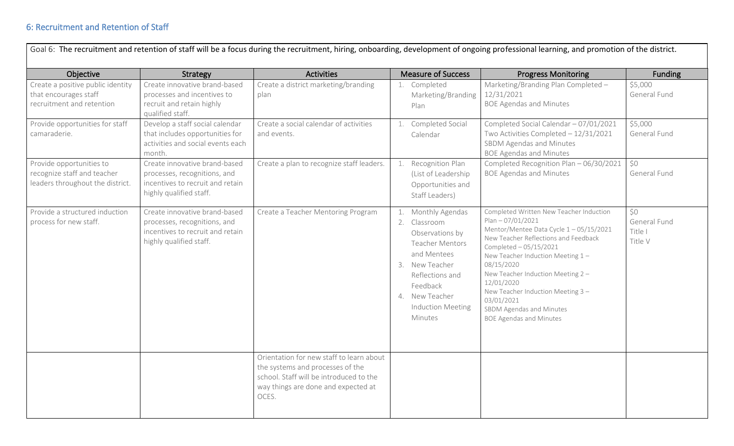| Objective                                                                                   | Strategy                                                                                                                     | <b>Activities</b>                                                                                                                                                       | <b>Measure of Success</b>                                                                                                                                                                                | <b>Progress Monitoring</b>                                                                                                                                                                                                                                                                                                                                                                     | Funding                                   |
|---------------------------------------------------------------------------------------------|------------------------------------------------------------------------------------------------------------------------------|-------------------------------------------------------------------------------------------------------------------------------------------------------------------------|----------------------------------------------------------------------------------------------------------------------------------------------------------------------------------------------------------|------------------------------------------------------------------------------------------------------------------------------------------------------------------------------------------------------------------------------------------------------------------------------------------------------------------------------------------------------------------------------------------------|-------------------------------------------|
| Create a positive public identity<br>that encourages staff<br>recruitment and retention     | Create innovative brand-based<br>processes and incentives to<br>recruit and retain highly<br>qualified staff.                | Create a district marketing/branding<br>plan                                                                                                                            | 1. Completed<br>Marketing/Branding<br>Plan                                                                                                                                                               | Marketing/Branding Plan Completed -<br>12/31/2021<br><b>BOE Agendas and Minutes</b>                                                                                                                                                                                                                                                                                                            | \$5,000<br>General Fund                   |
| Provide opportunities for staff<br>camaraderie.                                             | Develop a staff social calendar<br>that includes opportunities for<br>activities and social events each<br>month.            | Create a social calendar of activities<br>and events.                                                                                                                   | Completed Social<br>1.<br>Calendar                                                                                                                                                                       | Completed Social Calendar - 07/01/2021<br>Two Activities Completed - 12/31/2021<br>SBDM Agendas and Minutes<br><b>BOE Agendas and Minutes</b>                                                                                                                                                                                                                                                  | \$5,000<br>General Fund                   |
| Provide opportunities to<br>recognize staff and teacher<br>leaders throughout the district. | Create innovative brand-based<br>processes, recognitions, and<br>incentives to recruit and retain<br>highly qualified staff. | Create a plan to recognize staff leaders.                                                                                                                               | Recognition Plan<br>(List of Leadership<br>Opportunities and<br>Staff Leaders)                                                                                                                           | Completed Recognition Plan - 06/30/2021<br><b>BOE Agendas and Minutes</b>                                                                                                                                                                                                                                                                                                                      | \$0<br>General Fund                       |
| Provide a structured induction<br>process for new staff.                                    | Create innovative brand-based<br>processes, recognitions, and<br>incentives to recruit and retain<br>highly qualified staff. | Create a Teacher Mentoring Program                                                                                                                                      | 1. Monthly Agendas<br>2. Classroom<br>Observations by<br><b>Teacher Mentors</b><br>and Mentees<br>3. New Teacher<br>Reflections and<br>Feedback<br>4. New Teacher<br><b>Induction Meeting</b><br>Minutes | Completed Written New Teacher Induction<br>Plan $-07/01/2021$<br>Mentor/Mentee Data Cycle 1-05/15/2021<br>New Teacher Reflections and Feedback<br>Completed - 05/15/2021<br>New Teacher Induction Meeting 1-<br>08/15/2020<br>New Teacher Induction Meeting 2 -<br>12/01/2020<br>New Teacher Induction Meeting 3 -<br>03/01/2021<br>SBDM Agendas and Minutes<br><b>BOE Agendas and Minutes</b> | \$0<br>General Fund<br>Title I<br>Title V |
|                                                                                             |                                                                                                                              | Orientation for new staff to learn about<br>the systems and processes of the<br>school. Staff will be introduced to the<br>way things are done and expected at<br>OCES. |                                                                                                                                                                                                          |                                                                                                                                                                                                                                                                                                                                                                                                |                                           |